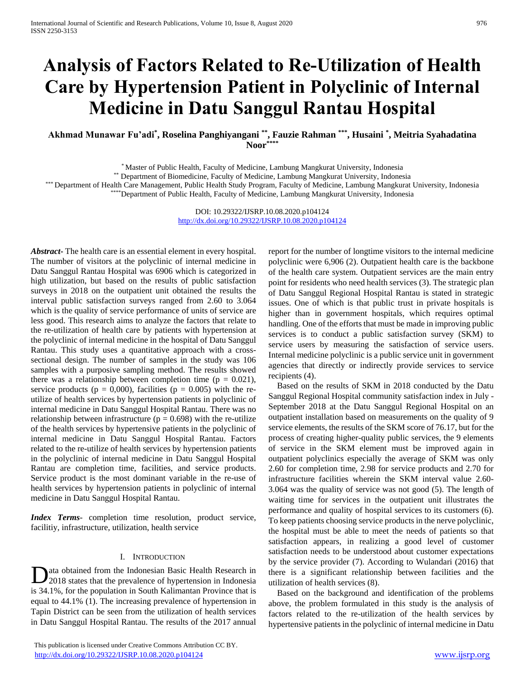# **Analysis of Factors Related to Re-Utilization of Health Care by Hypertension Patient in Polyclinic of Internal Medicine in Datu Sanggul Rantau Hospital**

**Akhmad Munawar Fu'adi\* , Roselina Panghiyangani \*\* , Fauzie Rahman \*\*\* , Husaini \* , Meitria Syahadatina Noor\*\*\*\***

\* Master of Public Health, Faculty of Medicine, Lambung Mangkurat University, Indonesia

\*\* Department of Biomedicine, Faculty of Medicine, Lambung Mangkurat University, Indonesia

\* Department of Health Care Management, Public Health Study Program, Faculty of Medicine, Lambung Mangkurat University, Indonesia \*\*\*\*Department of Public Health, Faculty of Medicine, Lambung Mangkurat University, Indonesia

> DOI: 10.29322/IJSRP.10.08.2020.p104124 <http://dx.doi.org/10.29322/IJSRP.10.08.2020.p104124>

*Abstract***-** The health care is an essential element in every hospital. The number of visitors at the polyclinic of internal medicine in Datu Sanggul Rantau Hospital was 6906 which is categorized in high utilization, but based on the results of public satisfaction surveys in 2018 on the outpatient unit obtained the results the interval public satisfaction surveys ranged from 2.60 to 3.064 which is the quality of service performance of units of service are less good. This research aims to analyze the factors that relate to the re-utilization of health care by patients with hypertension at the polyclinic of internal medicine in the hospital of Datu Sanggul Rantau. This study uses a quantitative approach with a crosssectional design. The number of samples in the study was 106 samples with a purposive sampling method. The results showed there was a relationship between completion time ( $p = 0.021$ ), service products ( $p = 0,000$ ), facilities ( $p = 0.005$ ) with the reutilize of health services by hypertension patients in polyclinic of internal medicine in Datu Sanggul Hospital Rantau. There was no relationship between infrastructure ( $p = 0.698$ ) with the re-utilize of the health services by hypertensive patients in the polyclinic of internal medicine in Datu Sanggul Hospital Rantau. Factors related to the re-utilize of health services by hypertension patients in the polyclinic of internal medicine in Datu Sanggul Hospital Rantau are completion time, facilities, and service products. Service product is the most dominant variable in the re-use of health services by hypertension patients in polyclinic of internal medicine in Datu Sanggul Hospital Rantau.

*Index Terms*- completion time resolution, product service, facilitiy, infrastructure, utilization, health service

#### I. INTRODUCTION

ata obtained from the Indonesian Basic Health Research in Data obtained from the Indonesian Basic Health Research in 2018 states that the prevalence of hypertension in Indonesia is 34.1%, for the population in South Kalimantan Province that is equal to 44.1% (1). The increasing prevalence of hypertension in Tapin District can be seen from the utilization of health services in Datu Sanggul Hospital Rantau. The results of the 2017 annual

 This publication is licensed under Creative Commons Attribution CC BY. <http://dx.doi.org/10.29322/IJSRP.10.08.2020.p104124> [www.ijsrp.org](http://ijsrp.org/)

report for the number of longtime visitors to the internal medicine polyclinic were 6,906 (2). Outpatient health care is the backbone of the health care system. Outpatient services are the main entry point for residents who need health services (3). The strategic plan of Datu Sanggul Regional Hospital Rantau is stated in strategic issues. One of which is that public trust in private hospitals is higher than in government hospitals, which requires optimal handling. One of the efforts that must be made in improving public services is to conduct a public satisfaction survey (SKM) to service users by measuring the satisfaction of service users. Internal medicine polyclinic is a public service unit in government agencies that directly or indirectly provide services to service recipients (4).

Based on the results of SKM in 2018 conducted by the Datu Sanggul Regional Hospital community satisfaction index in July - September 2018 at the Datu Sanggul Regional Hospital on an outpatient installation based on measurements on the quality of 9 service elements, the results of the SKM score of 76.17, but for the process of creating higher-quality public services, the 9 elements of service in the SKM element must be improved again in outpatient polyclinics especially the average of SKM was only 2.60 for completion time, 2.98 for service products and 2.70 for infrastructure facilities wherein the SKM interval value 2.60- 3.064 was the quality of service was not good (5). The length of waiting time for services in the outpatient unit illustrates the performance and quality of hospital services to its customers (6). To keep patients choosing service products in the nerve polyclinic, the hospital must be able to meet the needs of patients so that satisfaction appears, in realizing a good level of customer satisfaction needs to be understood about customer expectations by the service provider (7). According to Wulandari (2016) that there is a significant relationship between facilities and the utilization of health services (8).

Based on the background and identification of the problems above, the problem formulated in this study is the analysis of factors related to the re-utilization of the health services by hypertensive patients in the polyclinic of internal medicine in Datu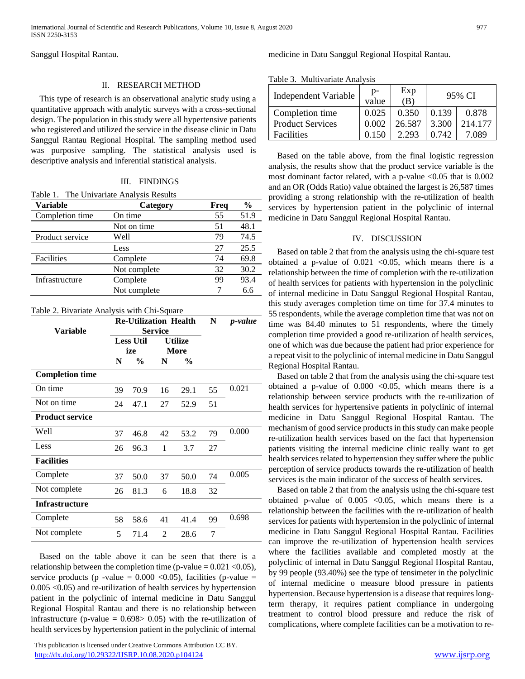Sanggul Hospital Rantau.

# II. RESEARCH METHOD

This type of research is an observational analytic study using a quantitative approach with analytic surveys with a cross-sectional design. The population in this study were all hypertensive patients who registered and utilized the service in the disease clinic in Datu Sanggul Rantau Regional Hospital. The sampling method used was purposive sampling. The statistical analysis used is descriptive analysis and inferential statistical analysis.

# III. FINDINGS

|  | Table 1. The Univariate Analysis Results |  |
|--|------------------------------------------|--|
|  |                                          |  |

| <b>Variable</b> | Category     | Freq | $\frac{0}{0}$ |
|-----------------|--------------|------|---------------|
| Completion time | On time      | 55   | 51.9          |
|                 | Not on time  | 51   | 48.1          |
| Product service | Well         | 79   | 74.5          |
|                 | Less         | 27   | 25.5          |
| Facilities      | Complete     | 74   | 69.8          |
|                 | Not complete | 32   | 30.2          |
| Infrastructure  | Complete     | 99   | 93.4          |
|                 | Not complete |      | 6.6           |

#### Table 2. Bivariate Analysis with Chi-Square

|                        | <b>Re-Utilization Health</b>                                               |               |    | N             | p-value |       |
|------------------------|----------------------------------------------------------------------------|---------------|----|---------------|---------|-------|
| <b>Variable</b>        | <b>Service</b><br><b>Less Util</b><br><b>Utilize</b><br>ize<br><b>More</b> |               |    |               |         |       |
|                        |                                                                            |               |    |               |         |       |
|                        |                                                                            |               |    |               |         |       |
|                        | N                                                                          | $\frac{0}{0}$ | N  | $\frac{6}{9}$ |         |       |
| <b>Completion time</b> |                                                                            |               |    |               |         |       |
| On time                | 39                                                                         | 70.9          | 16 | 29.1          | 55      | 0.021 |
| Not on time            | 24                                                                         | 47.1          | 27 | 52.9          | 51      |       |
| <b>Product service</b> |                                                                            |               |    |               |         |       |
| Well                   | 37                                                                         | 46.8          | 42 | 53.2          | 79      | 0.000 |
| Less                   | 26                                                                         | 96.3          | 1  | 3.7           | 27      |       |
| <b>Facilities</b>      |                                                                            |               |    |               |         |       |
| Complete               | 37                                                                         | 50.0          | 37 | 50.0          | 74      | 0.005 |
| Not complete           | 26                                                                         | 81.3          | 6  | 18.8          | 32      |       |
| <b>Infrastructure</b>  |                                                                            |               |    |               |         |       |
| Complete               | 58                                                                         | 58.6          | 41 | 41.4          | 99      | 0.698 |
| Not complete           | 5                                                                          | 71.4          | 2  | 28.6          | 7       |       |

Based on the table above it can be seen that there is a relationship between the completion time (p-value  $= 0.021 \le 0.05$ ), service products (p -value =  $0.000 \le 0.05$ ), facilities (p-value = 0.005 <0.05) and re-utilization of health services by hypertension patient in the polyclinic of internal medicine in Datu Sanggul Regional Hospital Rantau and there is no relationship between infrastructure (p-value  $= 0.698 > 0.05$ ) with the re-utilization of health services by hypertension patient in the polyclinic of internal

 This publication is licensed under Creative Commons Attribution CC BY. <http://dx.doi.org/10.29322/IJSRP.10.08.2020.p104124> [www.ijsrp.org](http://ijsrp.org/)

## medicine in Datu Sanggul Regional Hospital Rantau.

Table 3. Multivariate Analysis

| 1 acre - 11 acres 1 acres 1 anni 1 |             |            |        |         |  |
|------------------------------------|-------------|------------|--------|---------|--|
| <b>Independent Variable</b>        | D-<br>value | Exp<br>(B) | 95% CI |         |  |
| Completion time                    | 0.025       | 0.350      | 0.139  | 0.878   |  |
| <b>Product Services</b>            | 0.002       | 26.587     | 3.300  | 214.177 |  |
| Facilities                         | 0.150       | 2.293      | 0.742  | 7.089   |  |

Based on the table above, from the final logistic regression analysis, the results show that the product service variable is the most dominant factor related, with a p-value  $\leq 0.05$  that is 0.002 and an OR (Odds Ratio) value obtained the largest is 26,587 times providing a strong relationship with the re-utilization of health services by hypertension patient in the polyclinic of internal medicine in Datu Sanggul Regional Hospital Rantau.

## IV. DISCUSSION

Based on table 2 that from the analysis using the chi-square test obtained a p-value of  $0.021$  <0.05, which means there is a relationship between the time of completion with the re-utilization of health services for patients with hypertension in the polyclinic of internal medicine in Datu Sanggul Regional Hospital Rantau, this study averages completion time on time for 37.4 minutes to 55 respondents, while the average completion time that was not on time was 84.40 minutes to 51 respondents, where the timely completion time provided a good re-utilization of health services, one of which was due because the patient had prior experience for a repeat visit to the polyclinic of internal medicine in Datu Sanggul Regional Hospital Rantau.

Based on table 2 that from the analysis using the chi-square test obtained a p-value of  $0.000$  <0.05, which means there is a relationship between service products with the re-utilization of health services for hypertensive patients in polyclinic of internal medicine in Datu Sanggul Regional Hospital Rantau. The mechanism of good service products in this study can make people re-utilization health services based on the fact that hypertension patients visiting the internal medicine clinic really want to get health services related to hypertension they suffer where the public perception of service products towards the re-utilization of health services is the main indicator of the success of health services.

Based on table 2 that from the analysis using the chi-square test obtained p-value of  $0.005$  <0.05, which means there is a relationship between the facilities with the re-utilization of health services for patients with hypertension in the polyclinic of internal medicine in Datu Sanggul Regional Hospital Rantau. Facilities can improve the re-utilization of hypertension health services where the facilities available and completed mostly at the polyclinic of internal in Datu Sanggul Regional Hospital Rantau, by 99 people (93.40%) see the type of tensimeter in the polyclinic of internal medicine o measure blood pressure in patients hypertension. Because hypertension is a disease that requires longterm therapy, it requires patient compliance in undergoing treatment to control blood pressure and reduce the risk of complications, where complete facilities can be a motivation to re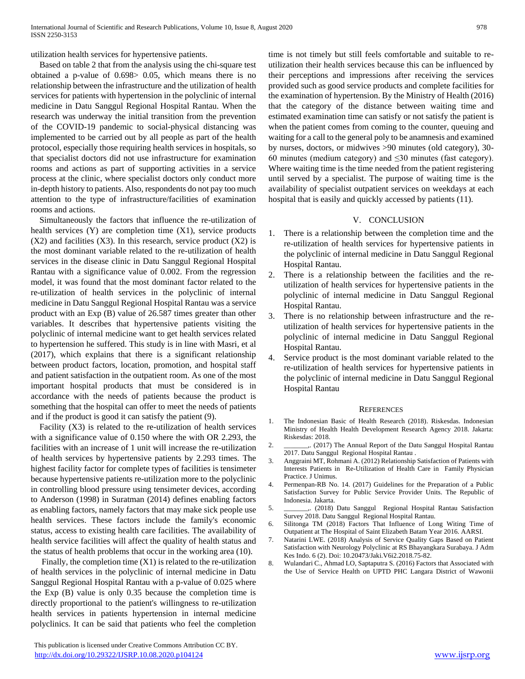utilization health services for hypertensive patients.

Based on table 2 that from the analysis using the chi-square test obtained a p-value of 0.698> 0.05, which means there is no relationship between the infrastructure and the utilization of health services for patients with hypertension in the polyclinic of internal medicine in Datu Sanggul Regional Hospital Rantau. When the research was underway the initial transition from the prevention of the COVID-19 pandemic to social-physical distancing was implemented to be carried out by all people as part of the health protocol, especially those requiring health services in hospitals, so that specialist doctors did not use infrastructure for examination rooms and actions as part of supporting activities in a service process at the clinic, where specialist doctors only conduct more in-depth history to patients. Also, respondents do not pay too much attention to the type of infrastructure/facilities of examination rooms and actions.

Simultaneously the factors that influence the re-utilization of health services (Y) are completion time (X1), service products  $(X2)$  and facilities  $(X3)$ . In this research, service product  $(X2)$  is the most dominant variable related to the re-utilization of health services in the disease clinic in Datu Sanggul Regional Hospital Rantau with a significance value of 0.002. From the regression model, it was found that the most dominant factor related to the re-utilization of health services in the polyclinic of internal medicine in Datu Sanggul Regional Hospital Rantau was a service product with an Exp (B) value of 26.587 times greater than other variables. It describes that hypertensive patients visiting the polyclinic of internal medicine want to get health services related to hypertension he suffered. This study is in line with Masri, et al (2017), which explains that there is a significant relationship between product factors, location, promotion, and hospital staff and patient satisfaction in the outpatient room. As one of the most important hospital products that must be considered is in accordance with the needs of patients because the product is something that the hospital can offer to meet the needs of patients and if the product is good it can satisfy the patient (9).

Facility (X3) is related to the re-utilization of health services with a significance value of 0.150 where the with OR 2.293, the facilities with an increase of 1 unit will increase the re-utilization of health services by hypertensive patients by 2.293 times. The highest facility factor for complete types of facilities is tensimeter because hypertensive patients re-utilization more to the polyclinic in controlling blood pressure using tensimeter devices, according to Anderson (1998) in Suratman (2014) defines enabling factors as enabling factors, namely factors that may make sick people use health services. These factors include the family's economic status, access to existing health care facilities. The availability of health service facilities will affect the quality of health status and the status of health problems that occur in the working area (10).

Finally, the completion time  $(X1)$  is related to the re-utilization of health services in the polyclinic of internal medicine in Datu Sanggul Regional Hospital Rantau with a p-value of 0.025 where the Exp (B) value is only 0.35 because the completion time is directly proportional to the patient's willingness to re-utilization health services in patients hypertension in internal medicine polyclinics. It can be said that patients who feel the completion

 This publication is licensed under Creative Commons Attribution CC BY. <http://dx.doi.org/10.29322/IJSRP.10.08.2020.p104124> [www.ijsrp.org](http://ijsrp.org/)

time is not timely but still feels comfortable and suitable to reutilization their health services because this can be influenced by their perceptions and impressions after receiving the services provided such as good service products and complete facilities for the examination of hypertension. By the Ministry of Health (2016) that the category of the distance between waiting time and estimated examination time can satisfy or not satisfy the patient is when the patient comes from coming to the counter, queuing and waiting for a call to the general poly to be anamnesis and examined by nurses, doctors, or midwives >90 minutes (old category), 30- 60 minutes (medium category) and  $\leq$ 30 minutes (fast category). Where waiting time is the time needed from the patient registering until served by a specialist. The purpose of waiting time is the availability of specialist outpatient services on weekdays at each hospital that is easily and quickly accessed by patients (11).

#### V. CONCLUSION

- 1. There is a relationship between the completion time and the re-utilization of health services for hypertensive patients in the polyclinic of internal medicine in Datu Sanggul Regional Hospital Rantau.
- 2. There is a relationship between the facilities and the reutilization of health services for hypertensive patients in the polyclinic of internal medicine in Datu Sanggul Regional Hospital Rantau.
- 3. There is no relationship between infrastructure and the reutilization of health services for hypertensive patients in the polyclinic of internal medicine in Datu Sanggul Regional Hospital Rantau.
- 4. Service product is the most dominant variable related to the re-utilization of health services for hypertensive patients in the polyclinic of internal medicine in Datu Sanggul Regional Hospital Rantau

#### **REFERENCES**

- 1. The Indonesian Basic of Health Research (2018). Riskesdas. Indonesian Ministry of Health Health Development Research Agency 2018. Jakarta: Riskesdas: 2018.
- 2. \_\_\_\_\_\_\_,. (2017) The Annual Report of the Datu Sanggul Hospital Rantau 2017. Datu Sanggul Regional Hospital Rantau .
- 3. Anggraini MT, Rohmani A. (2012) Relationship Satisfaction of Patients with Interests Patients in Re-Utilization of Health Care in Family Physician Practice. J Unimus.
- 4. Permenpan-RB No. 14. (2017) Guidelines for the Preparation of a Public Satisfaction Survey for Public Service Provider Units. The Republic of Indonesia. Jakarta.
- 5. \_\_\_\_\_\_\_,. (2018) Datu Sanggul Regional Hospital Rantau Satisfaction Survey 2018. Datu Sanggul Regional Hospital Rantau.
- 6. Silitonga TM (2018) Factors That Influence of Long Witing Time of Outpatient at The Hospital of Saint Elizabeth Batam Year 2016. AARSI.
- 7. Natarini LWE. (2018) Analysis of Service Quality Gaps Based on Patient Satisfaction with Neurology Polyclinic at RS Bhayangkara Surabaya. J Adm Kes Indo. 6 (2). Doi: 10.20473/Jaki.V6i2.2018.75-82.
- 8. Wulandari C., Ahmad LO, Saptaputra S. (2016) Factors that Associated with the Use of Service Health on UPTD PHC Langara District of Wawonii